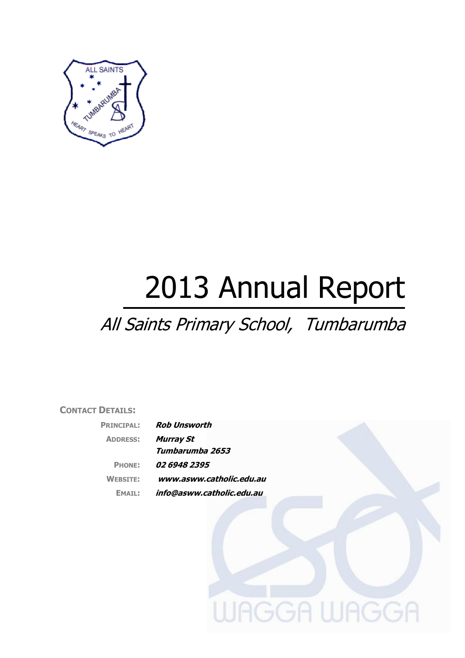

# 2013 Annual Report

# All Saints Primary School, Tumbarumba

# **CONTACT DETAILS:**

| <b>PRINCIPAL:</b> | <b>Rob Unsworth</b>       |
|-------------------|---------------------------|
| <b>ADDRESS:</b>   | <b>Murray St</b>          |
|                   | Tumbarumba 2653           |
| <b>PHONE:</b>     | 02 6948 2395              |
| <b>WEBSITE:</b>   | www.asww.catholic.edu.au  |
| EMATI :           | info@asww.catholic.edu.au |

**JAGGA WAGGA**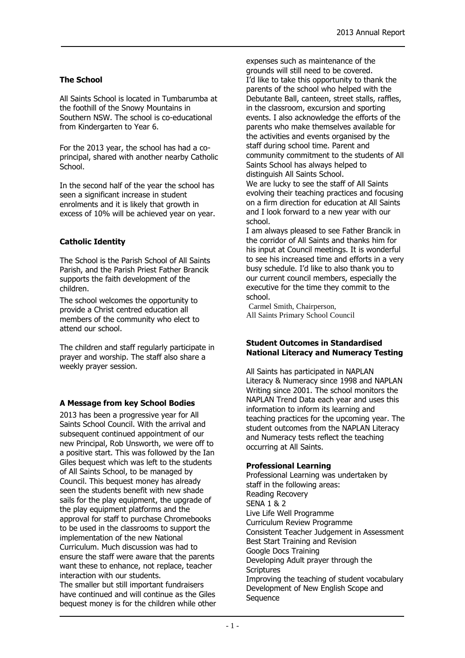# **The School**

All Saints School is located in Tumbarumba at the foothill of the Snowy Mountains in Southern NSW. The school is co-educational from Kindergarten to Year 6.

For the 2013 year, the school has had a coprincipal, shared with another nearby Catholic School.

In the second half of the year the school has seen a significant increase in student enrolments and it is likely that growth in excess of 10% will be achieved year on year.

# **Catholic Identity**

The School is the Parish School of All Saints Parish, and the Parish Priest Father Brancik supports the faith development of the children.

The school welcomes the opportunity to provide a Christ centred education all members of the community who elect to attend our school.

The children and staff regularly participate in prayer and worship. The staff also share a weekly prayer session.

#### **A Message from key School Bodies**

2013 has been a progressive year for All Saints School Council. With the arrival and subsequent continued appointment of our new Principal, Rob Unsworth, we were off to a positive start. This was followed by the Ian Giles bequest which was left to the students of All Saints School, to be managed by Council. This bequest money has already seen the students benefit with new shade sails for the play equipment, the upgrade of the play equipment platforms and the approval for staff to purchase Chromebooks to be used in the classrooms to support the implementation of the new National Curriculum. Much discussion was had to ensure the staff were aware that the parents want these to enhance, not replace, teacher interaction with our students.

The smaller but still important fundraisers have continued and will continue as the Giles bequest money is for the children while other expenses such as maintenance of the grounds will still need to be covered. I'd like to take this opportunity to thank the parents of the school who helped with the Debutante Ball, canteen, street stalls, raffles, in the classroom, excursion and sporting events. I also acknowledge the efforts of the parents who make themselves available for the activities and events organised by the staff during school time. Parent and community commitment to the students of All Saints School has always helped to distinguish All Saints School.

We are lucky to see the staff of All Saints evolving their teaching practices and focusing on a firm direction for education at All Saints and I look forward to a new year with our school.

I am always pleased to see Father Brancik in the corridor of All Saints and thanks him for his input at Council meetings. It is wonderful to see his increased time and efforts in a very busy schedule. I'd like to also thank you to our current council members, especially the executive for the time they commit to the school.

Carmel Smith, Chairperson, All Saints Primary School Council

#### **Student Outcomes in Standardised National Literacy and Numeracy Testing**

All Saints has participated in NAPLAN Literacy & Numeracy since 1998 and NAPLAN Writing since 2001. The school monitors the NAPLAN Trend Data each year and uses this information to inform its learning and teaching practices for the upcoming year. The student outcomes from the NAPLAN Literacy and Numeracy tests reflect the teaching occurring at All Saints.

#### **Professional Learning**

Professional Learning was undertaken by staff in the following areas: Reading Recovery SENA 1 & 2 Live Life Well Programme Curriculum Review Programme Consistent Teacher Judgement in Assessment Best Start Training and Revision Google Docs Training Developing Adult prayer through the **Scriptures** Improving the teaching of student vocabulary Development of New English Scope and **Sequence**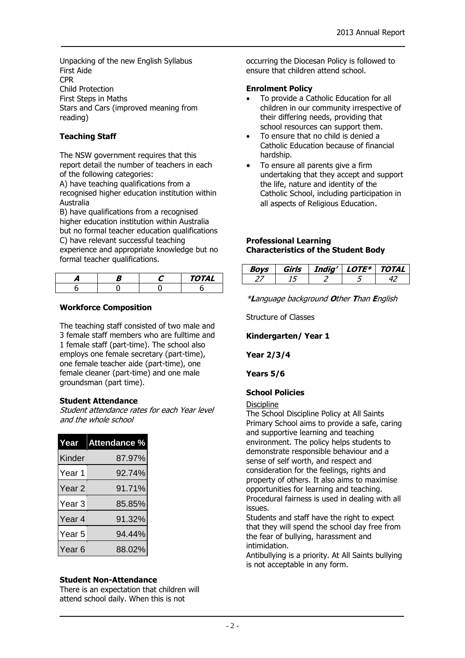Unpacking of the new English Syllabus First Aide CPR Child Protection First Steps in Maths Stars and Cars (improved meaning from reading)

# **Teaching Staff**

The NSW government requires that this report detail the number of teachers in each of the following categories:

A) have teaching qualifications from a recognised higher education institution within Australia

B) have qualifications from a recognised higher education institution within Australia but no formal teacher education qualifications C) have relevant successful teaching experience and appropriate knowledge but no formal teacher qualifications.

|  | Δ/<br>'I AL |
|--|-------------|
|  |             |

#### **Workforce Composition**

The teaching staff consisted of two male and 3 female staff members who are fulltime and 1 female staff (part-time). The school also employs one female secretary (part-time), one female teacher aide (part-time), one female cleaner (part-time) and one male groundsman (part time).

#### **Student Attendance**

Student attendance rates for each Year level and the whole school

| Year              | Attendance % |  |
|-------------------|--------------|--|
| Kinder            | 87.97%       |  |
| Year 1            | 92.74%       |  |
| Year <sub>2</sub> | 91.71%       |  |
| Year <sub>3</sub> | 85.85%       |  |
| Year <sub>4</sub> | 91.32%       |  |
| Year 5            | 94.44%       |  |
| Year <sub>6</sub> | 88.02%       |  |

#### **Student Non-Attendance**

There is an expectation that children will attend school daily. When this is not

occurring the Diocesan Policy is followed to ensure that children attend school.

#### **Enrolment Policy**

- To provide a Catholic Education for all children in our community irrespective of their differing needs, providing that school resources can support them.
- To ensure that no child is denied a Catholic Education because of financial hardship.
- To ensure all parents give a firm undertaking that they accept and support the life, nature and identity of the Catholic School, including participation in all aspects of Religious Education.

#### **Professional Learning Characteristics of the Student Body**

| ימא | Sirls | India' | $\cdot$ ote* $\overline{\phantom{a}}$ | TOTAL |
|-----|-------|--------|---------------------------------------|-------|
|     |       |        |                                       |       |

\***L**anguage background **O**ther **T**han **E**nglish

Structure of Classes

#### **Kindergarten/ Year 1**

**Year 2/3/4**

#### **Years 5/6**

#### **School Policies**

#### **Discipline**

The School Discipline Policy at All Saints Primary School aims to provide a safe, caring and supportive learning and teaching environment. The policy helps students to demonstrate responsible behaviour and a sense of self worth, and respect and consideration for the feelings, rights and property of others. It also aims to maximise opportunities for learning and teaching. Procedural fairness is used in dealing with all issues.

Students and staff have the right to expect that they will spend the school day free from the fear of bullying, harassment and intimidation.

Antibullying is a priority. At All Saints bullying is not acceptable in any form.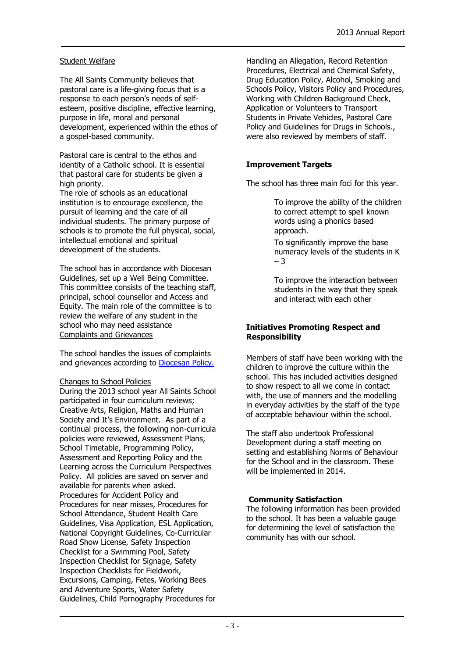#### Student Welfare

The All Saints Community believes that pastoral care is a life-giving focus that is a response to each person's needs of selfesteem, positive discipline, effective learning, purpose in life, moral and personal development, experienced within the ethos of a gospel-based community.

Pastoral care is central to the ethos and identity of a Catholic school. It is essential that pastoral care for students be given a high priority.

The role of schools as an educational institution is to encourage excellence, the pursuit of learning and the care of all individual students. The primary purpose of schools is to promote the full physical, social, intellectual emotional and spiritual development of the students.

The school has in accordance with Diocesan Guidelines, set up a Well Being Committee. This committee consists of the teaching staff, principal, school counsellor and Access and Equity. The main role of the committee is to review the welfare of any student in the school who may need assistance Complaints and Grievances

The school handles the issues of complaints and grievances according to **Diocesan Policy.** 

#### Changes to School Policies

During the 2013 school year All Saints School participated in four curriculum reviews; Creative Arts, Religion, Maths and Human Society and It's Environment. As part of a continual process, the following non-curricula policies were reviewed, Assessment Plans, School Timetable, Programming Policy, Assessment and Reporting Policy and the Learning across the Curriculum Perspectives Policy. All policies are saved on server and available for parents when asked. Procedures for Accident Policy and Procedures for near misses, Procedures for School Attendance, Student Health Care Guidelines, Visa Application, ESL Application, National Copyright Guidelines, Co-Curricular Road Show License, Safety Inspection Checklist for a Swimming Pool, Safety Inspection Checklist for Signage, Safety Inspection Checklists for Fieldwork, Excursions, Camping, Fetes, Working Bees and Adventure Sports, Water Safety Guidelines, Child Pornography Procedures for

Handling an Allegation, Record Retention Procedures, Electrical and Chemical Safety, Drug Education Policy, Alcohol, Smoking and Schools Policy, Visitors Policy and Procedures, Working with Children Background Check, Application or Volunteers to Transport Students in Private Vehicles, Pastoral Care Policy and Guidelines for Drugs in Schools., were also reviewed by members of staff.

#### **Improvement Targets**

The school has three main foci for this year.

To improve the ability of the children to correct attempt to spell known words using a phonics based approach.

To significantly improve the base numeracy levels of the students in K – 3

To improve the interaction between students in the way that they speak and interact with each other

#### **Initiatives Promoting Respect and Responsibility**

Members of staff have been working with the children to improve the culture within the school. This has included activities designed to show respect to all we come in contact with, the use of manners and the modelling in everyday activities by the staff of the type of acceptable behaviour within the school.

The staff also undertook Professional Development during a staff meeting on setting and establishing Norms of Behaviour for the School and in the classroom. These will be implemented in 2014.

#### **Community Satisfaction**

The following information has been provided to the school. It has been a valuable gauge for determining the level of satisfaction the community has with our school.